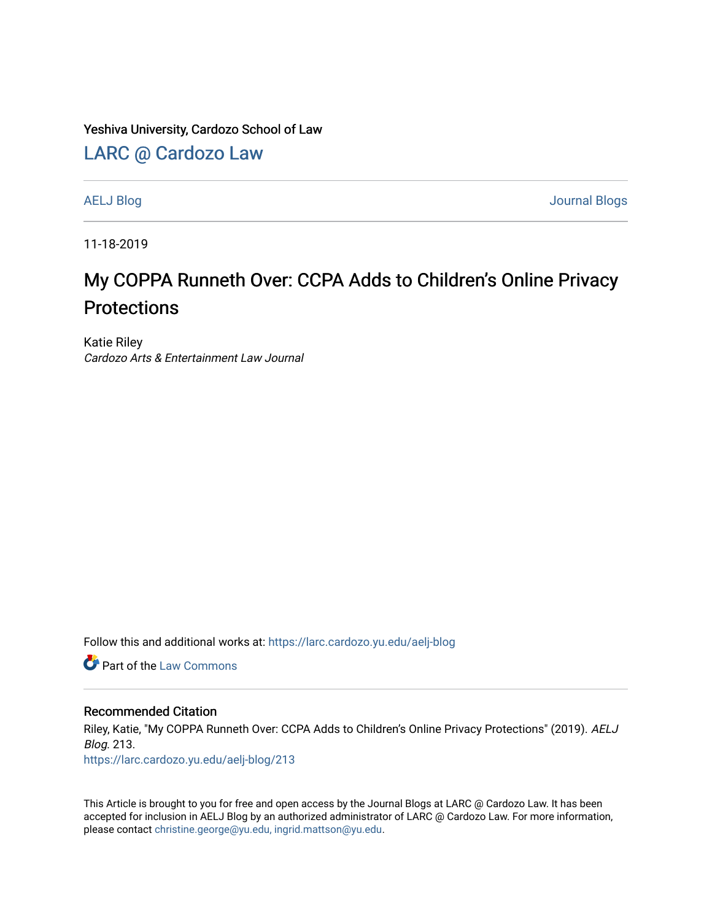Yeshiva University, Cardozo School of Law

[LARC @ Cardozo Law](https://larc.cardozo.yu.edu/)

[AELJ Blog](https://larc.cardozo.yu.edu/aelj-blog) [Journal Blogs](https://larc.cardozo.yu.edu/journal-blogs) 

11-18-2019

## My COPPA Runneth Over: CCPA Adds to Children's Online Privacy **Protections**

Katie Riley Cardozo Arts & Entertainment Law Journal

Follow this and additional works at: [https://larc.cardozo.yu.edu/aelj-blog](https://larc.cardozo.yu.edu/aelj-blog?utm_source=larc.cardozo.yu.edu%2Faelj-blog%2F213&utm_medium=PDF&utm_campaign=PDFCoverPages) 

**C** Part of the [Law Commons](http://network.bepress.com/hgg/discipline/578?utm_source=larc.cardozo.yu.edu%2Faelj-blog%2F213&utm_medium=PDF&utm_campaign=PDFCoverPages)

## Recommended Citation

Riley, Katie, "My COPPA Runneth Over: CCPA Adds to Children's Online Privacy Protections" (2019). AELJ Blog. 213.

[https://larc.cardozo.yu.edu/aelj-blog/213](https://larc.cardozo.yu.edu/aelj-blog/213?utm_source=larc.cardozo.yu.edu%2Faelj-blog%2F213&utm_medium=PDF&utm_campaign=PDFCoverPages) 

This Article is brought to you for free and open access by the Journal Blogs at LARC @ Cardozo Law. It has been accepted for inclusion in AELJ Blog by an authorized administrator of LARC @ Cardozo Law. For more information, please contact [christine.george@yu.edu, ingrid.mattson@yu.edu.](mailto:christine.george@yu.edu,%20ingrid.mattson@yu.edu)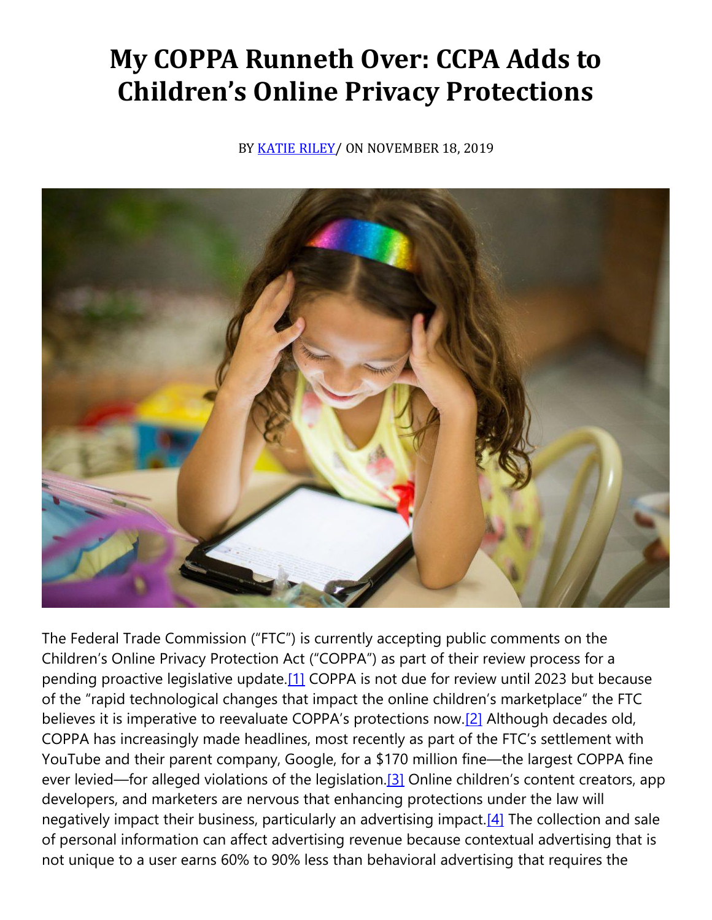## **My COPPA Runneth Over: CCPA Adds to Children's Online Privacy Protections**

BY [KATIE RILEY/](https://cardozoaelj.com/author/katie-riley/) ON NOVEMBER 18, 2019



The Federal Trade Commission ("FTC") is currently accepting public comments on the Children's Online Privacy Protection Act ("COPPA") as part of their review process for a pending proactive legislative update[.\[1\]](https://cardozoaelj.com/2019/11/18/my-coppa-runneth-over-ccpa-adds-to-childrens-online-privacy-protections/#_ftn1) COPPA is not due for review until 2023 but because of the "rapid technological changes that impact the online children's marketplace" the FTC believes it is imperative to reevaluate COPPA's protections now.<sup>[\[2\]](https://cardozoaelj.com/2019/11/18/my-coppa-runneth-over-ccpa-adds-to-childrens-online-privacy-protections/#_ftn2)</sup> Although decades old, COPPA has increasingly made headlines, most recently as part of the FTC's settlement with YouTube and their parent company, Google, for a \$170 million fine—the largest COPPA fine ever levied—for alleged violations of the legislation.<sup>[3]</sup> Online children's content creators, app developers, and marketers are nervous that enhancing protections under the law will negatively impact their business, particularly an advertising impact[.\[4\]](https://cardozoaelj.com/2019/11/18/my-coppa-runneth-over-ccpa-adds-to-childrens-online-privacy-protections/#_ftn4) The collection and sale of personal information can affect advertising revenue because contextual advertising that is not unique to a user earns 60% to 90% less than behavioral advertising that requires the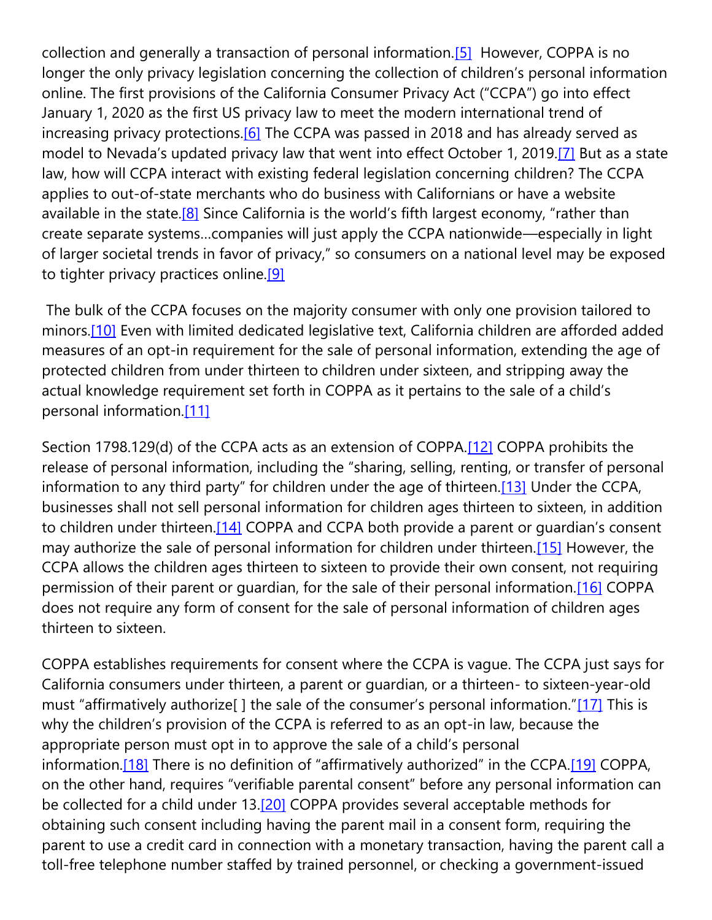collection and generally a transaction of personal information[.\[5\]](https://cardozoaelj.com/2019/11/18/my-coppa-runneth-over-ccpa-adds-to-childrens-online-privacy-protections/#_ftn5) However, COPPA is no longer the only privacy legislation concerning the collection of children's personal information online. The first provisions of the California Consumer Privacy Act ("CCPA") go into effect January 1, 2020 as the first US privacy law to meet the modern international trend of increasing privacy protections.<sup>[6]</sup> The CCPA was passed in 2018 and has already served as model to Nevada's updated privacy law that went into effect October 1, 2019[.\[7\]](https://cardozoaelj.com/2019/11/18/my-coppa-runneth-over-ccpa-adds-to-childrens-online-privacy-protections/#_ftn7) But as a state law, how will CCPA interact with existing federal legislation concerning children? The CCPA applies to out-of-state merchants who do business with Californians or have a website available in the state.<sup>[8]</sup> Since California is the world's fifth largest economy, "rather than create separate systems…companies will just apply the CCPA nationwide—especially in light of larger societal trends in favor of privacy," so consumers on a national level may be exposed to tighter privacy practices online[.\[9\]](https://cardozoaelj.com/2019/11/18/my-coppa-runneth-over-ccpa-adds-to-childrens-online-privacy-protections/#_ftn9) 

The bulk of the CCPA focuses on the majority consumer with only one provision tailored to minors.<sup>[10]</sup> Even with limited dedicated legislative text, California children are afforded added measures of an opt-in requirement for the sale of personal information, extending the age of protected children from under thirteen to children under sixteen, and stripping away the actual knowledge requirement set forth in COPPA as it pertains to the sale of a child's personal information[.\[11\]](https://cardozoaelj.com/2019/11/18/my-coppa-runneth-over-ccpa-adds-to-childrens-online-privacy-protections/#_ftn11)

Section 1798.129(d) of the CCPA acts as an extension of COPPA[.\[12\]](https://cardozoaelj.com/2019/11/18/my-coppa-runneth-over-ccpa-adds-to-childrens-online-privacy-protections/#_ftn12) COPPA prohibits the release of personal information, including the "sharing, selling, renting, or transfer of personal information to any third party" for children under the age of thirteen.[\[13\]](https://cardozoaelj.com/2019/11/18/my-coppa-runneth-over-ccpa-adds-to-childrens-online-privacy-protections/#_ftn13) Under the CCPA, businesses shall not sell personal information for children ages thirteen to sixteen, in addition to children under thirteen.<sup>[14]</sup> COPPA and CCPA both provide a parent or quardian's consent may authorize the sale of personal information for children under thirteen[.\[15\]](https://cardozoaelj.com/2019/11/18/my-coppa-runneth-over-ccpa-adds-to-childrens-online-privacy-protections/#_ftn15) However, the CCPA allows the children ages thirteen to sixteen to provide their own consent, not requiring permission of their parent or guardian, for the sale of their personal information[.\[16\]](https://cardozoaelj.com/2019/11/18/my-coppa-runneth-over-ccpa-adds-to-childrens-online-privacy-protections/#_ftn16) COPPA does not require any form of consent for the sale of personal information of children ages thirteen to sixteen.

COPPA establishes requirements for consent where the CCPA is vague. The CCPA just says for California consumers under thirteen, a parent or guardian, or a thirteen- to sixteen-year-old must "affirmatively authorize[ ] the sale of the consumer's personal information."[\[17\]](https://cardozoaelj.com/2019/11/18/my-coppa-runneth-over-ccpa-adds-to-childrens-online-privacy-protections/#_ftn17) This is why the children's provision of the CCPA is referred to as an opt-in law, because the appropriate person must opt in to approve the sale of a child's personal information.<sup>[18]</sup> There is no definition of "affirmatively authorized" in the CCPA.<sup>[\[19\]](https://cardozoaelj.com/2019/11/18/my-coppa-runneth-over-ccpa-adds-to-childrens-online-privacy-protections/#_ftn19)</sup> COPPA, on the other hand, requires "verifiable parental consent" before any personal information can be collected for a child under 13[.\[20\]](https://cardozoaelj.com/2019/11/18/my-coppa-runneth-over-ccpa-adds-to-childrens-online-privacy-protections/#_ftn20) COPPA provides several acceptable methods for obtaining such consent including having the parent mail in a consent form, requiring the parent to use a credit card in connection with a monetary transaction, having the parent call a toll-free telephone number staffed by trained personnel, or checking a government-issued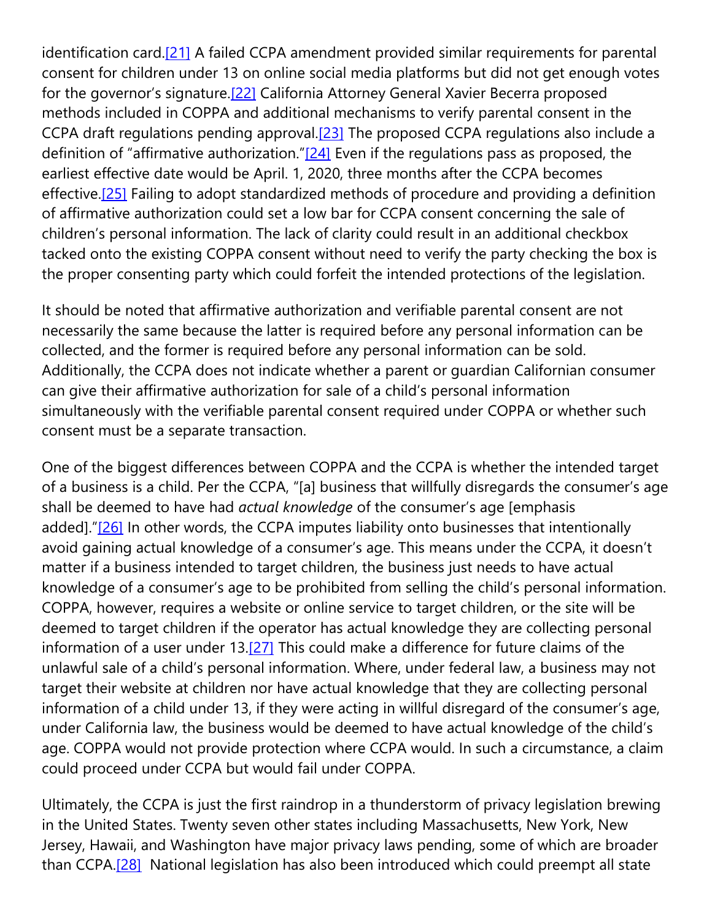identification card.<sup>[21]</sup> A failed CCPA amendment provided similar requirements for parental consent for children under 13 on online social media platforms but did not get enough votes for the governor's signature.[\[22\]](https://cardozoaelj.com/2019/11/18/my-coppa-runneth-over-ccpa-adds-to-childrens-online-privacy-protections/#_ftn22) California Attorney General Xavier Becerra proposed methods included in COPPA and additional mechanisms to verify parental consent in the CCPA draft regulations pending approval. $[23]$  The proposed CCPA regulations also include a definition of "affirmative authorization." $[24]$  Even if the regulations pass as proposed, the earliest effective date would be April. 1, 2020, three months after the CCPA becomes effective.<sup>[25]</sup> Failing to adopt standardized methods of procedure and providing a definition of affirmative authorization could set a low bar for CCPA consent concerning the sale of children's personal information. The lack of clarity could result in an additional checkbox tacked onto the existing COPPA consent without need to verify the party checking the box is the proper consenting party which could forfeit the intended protections of the legislation.

It should be noted that affirmative authorization and verifiable parental consent are not necessarily the same because the latter is required before any personal information can be collected, and the former is required before any personal information can be sold. Additionally, the CCPA does not indicate whether a parent or guardian Californian consumer can give their affirmative authorization for sale of a child's personal information simultaneously with the verifiable parental consent required under COPPA or whether such consent must be a separate transaction.

One of the biggest differences between COPPA and the CCPA is whether the intended target of a business is a child. Per the CCPA, "[a] business that willfully disregards the consumer's age shall be deemed to have had *actual knowledge* of the consumer's age [emphasis added]."[\[26\]](https://cardozoaelj.com/2019/11/18/my-coppa-runneth-over-ccpa-adds-to-childrens-online-privacy-protections/#_ftn26) In other words, the CCPA imputes liability onto businesses that intentionally avoid gaining actual knowledge of a consumer's age. This means under the CCPA, it doesn't matter if a business intended to target children, the business just needs to have actual knowledge of a consumer's age to be prohibited from selling the child's personal information. COPPA, however, requires a website or online service to target children, or the site will be deemed to target children if the operator has actual knowledge they are collecting personal information of a user under 13[.\[27\]](https://cardozoaelj.com/2019/11/18/my-coppa-runneth-over-ccpa-adds-to-childrens-online-privacy-protections/#_ftn27) This could make a difference for future claims of the unlawful sale of a child's personal information. Where, under federal law, a business may not target their website at children nor have actual knowledge that they are collecting personal information of a child under 13, if they were acting in willful disregard of the consumer's age, under California law, the business would be deemed to have actual knowledge of the child's age. COPPA would not provide protection where CCPA would. In such a circumstance, a claim could proceed under CCPA but would fail under COPPA.

Ultimately, the CCPA is just the first raindrop in a thunderstorm of privacy legislation brewing in the United States. Twenty seven other states including Massachusetts, New York, New Jersey, Hawaii, and Washington have major privacy laws pending, some of which are broader than CCPA.<sup>[28]</sup> National legislation has also been introduced which could preempt all state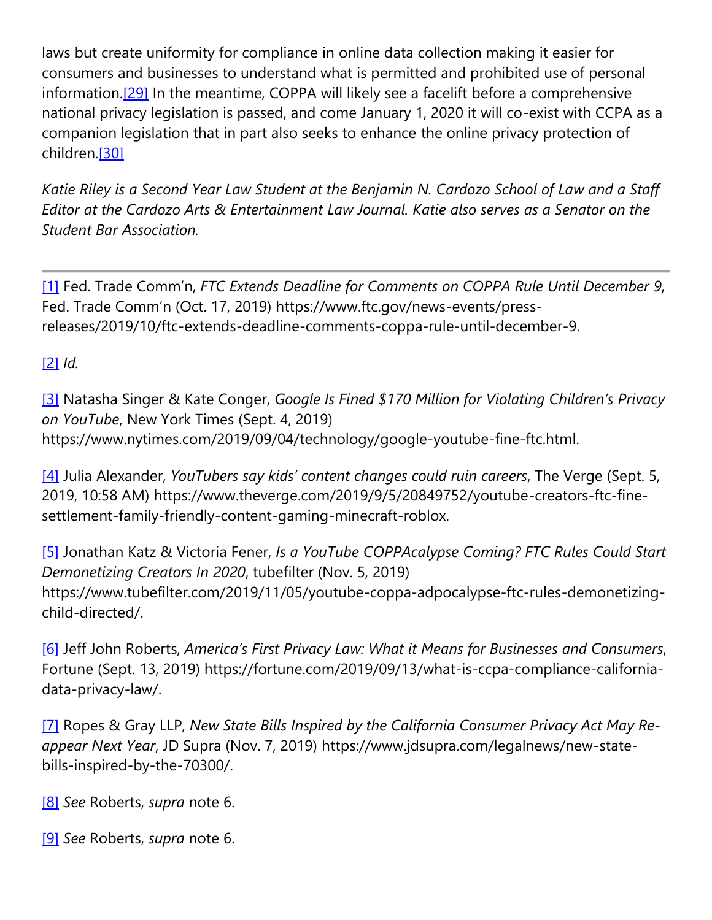laws but create uniformity for compliance in online data collection making it easier for consumers and businesses to understand what is permitted and prohibited use of personal information[.\[29\]](https://cardozoaelj.com/2019/11/18/my-coppa-runneth-over-ccpa-adds-to-childrens-online-privacy-protections/#_ftn29) In the meantime, COPPA will likely see a facelift before a comprehensive national privacy legislation is passed, and come January 1, 2020 it will co-exist with CCPA as a companion legislation that in part also seeks to enhance the online privacy protection of children[.\[30\]](https://cardozoaelj.com/2019/11/18/my-coppa-runneth-over-ccpa-adds-to-childrens-online-privacy-protections/#_ftn30)

Katie Riley is a Second Year Law Student at the Benjamin N. Cardozo School of Law and a Staff *Editor at the Cardozo Arts & Entertainment Law Journal. Katie also serves as a Senator on the Student Bar Association.*

[\[1\]](https://cardozoaelj.com/2019/11/18/my-coppa-runneth-over-ccpa-adds-to-childrens-online-privacy-protections/#_ftnref1) Fed. Trade Comm'n, *FTC Extends Deadline for Comments on COPPA Rule Until December 9*, Fed. Trade Comm'n (Oct. 17, 2019) https://www.ftc.gov/news-events/pressreleases/2019/10/ftc-extends-deadline-comments-coppa-rule-until-december-9.

[\[2\]](https://cardozoaelj.com/2019/11/18/my-coppa-runneth-over-ccpa-adds-to-childrens-online-privacy-protections/#_ftnref2) *Id.*

[\[3\]](https://cardozoaelj.com/2019/11/18/my-coppa-runneth-over-ccpa-adds-to-childrens-online-privacy-protections/#_ftnref3) Natasha Singer & Kate Conger, *Google Is Fined \$170 Million for Violating Children's Privacy on YouTube*, New York Times (Sept. 4, 2019) https://www.nytimes.com/2019/09/04/technology/google-youtube-fine-ftc.html.

[\[4\]](https://cardozoaelj.com/2019/11/18/my-coppa-runneth-over-ccpa-adds-to-childrens-online-privacy-protections/#_ftnref4) Julia Alexander, *YouTubers say kids' content changes could ruin careers*, The Verge (Sept. 5, 2019, 10:58 AM) https://www.theverge.com/2019/9/5/20849752/youtube-creators-ftc-finesettlement-family-friendly-content-gaming-minecraft-roblox.

[\[5\]](https://cardozoaelj.com/2019/11/18/my-coppa-runneth-over-ccpa-adds-to-childrens-online-privacy-protections/#_ftnref5) Jonathan Katz & Victoria Fener, *Is a YouTube COPPAcalypse Coming? FTC Rules Could Start Demonetizing Creators In 2020*, tubefilter (Nov. 5, 2019) https://www.tubefilter.com/2019/11/05/youtube-coppa-adpocalypse-ftc-rules-demonetizingchild-directed/.

[\[6\]](https://cardozoaelj.com/2019/11/18/my-coppa-runneth-over-ccpa-adds-to-childrens-online-privacy-protections/#_ftnref6) Jeff John Roberts, *America's First Privacy Law: What it Means for Businesses and Consumers*, Fortune (Sept. 13, 2019) https://fortune.com/2019/09/13/what-is-ccpa-compliance-californiadata-privacy-law/.

[\[7\]](https://cardozoaelj.com/2019/11/18/my-coppa-runneth-over-ccpa-adds-to-childrens-online-privacy-protections/#_ftnref7) Ropes & Gray LLP, *New State Bills Inspired by the California Consumer Privacy Act May Reappear Next Year*, JD Supra (Nov. 7, 2019) https://www.jdsupra.com/legalnews/new-statebills-inspired-by-the-70300/.

[\[8\]](https://cardozoaelj.com/2019/11/18/my-coppa-runneth-over-ccpa-adds-to-childrens-online-privacy-protections/#_ftnref8) *See* Roberts, *supra* note 6.

[\[9\]](https://cardozoaelj.com/2019/11/18/my-coppa-runneth-over-ccpa-adds-to-childrens-online-privacy-protections/#_ftnref9) *See* Roberts, *supra* note 6.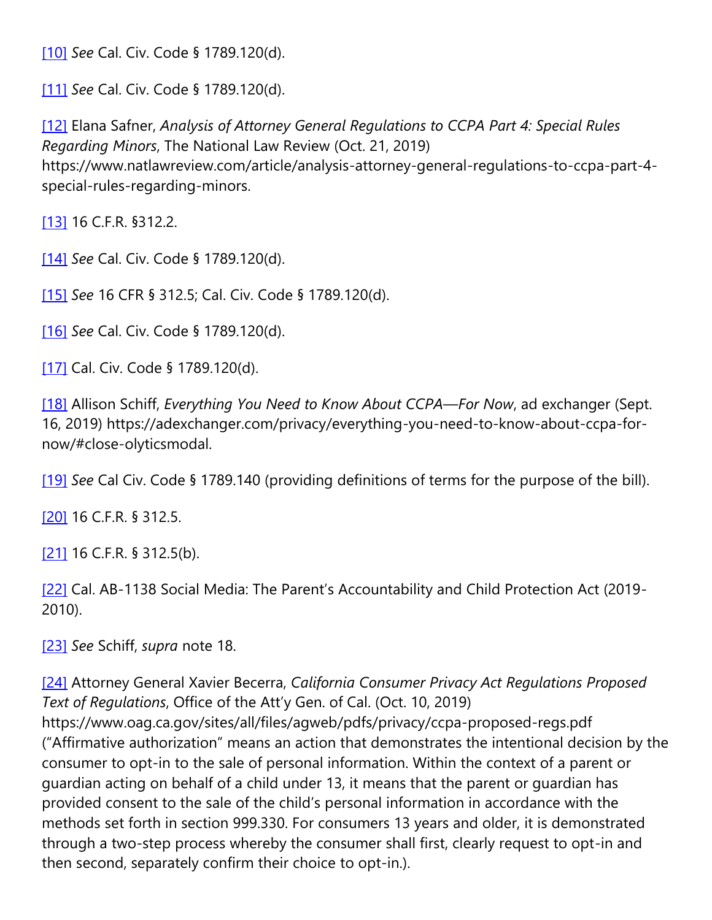[\[10\]](https://cardozoaelj.com/2019/11/18/my-coppa-runneth-over-ccpa-adds-to-childrens-online-privacy-protections/#_ftnref10) *See* Cal. Civ. Code § 1789.120(d).

[\[11\]](https://cardozoaelj.com/2019/11/18/my-coppa-runneth-over-ccpa-adds-to-childrens-online-privacy-protections/#_ftnref11) *See* Cal. Civ. Code § 1789.120(d).

[\[12\]](https://cardozoaelj.com/2019/11/18/my-coppa-runneth-over-ccpa-adds-to-childrens-online-privacy-protections/#_ftnref12) Elana Safner, *Analysis of Attorney General Regulations to CCPA Part 4: Special Rules Regarding Minors*, The National Law Review (Oct. 21, 2019) https://www.natlawreview.com/article/analysis-attorney-general-regulations-to-ccpa-part-4 special-rules-regarding-minors.

[\[13\]](https://cardozoaelj.com/2019/11/18/my-coppa-runneth-over-ccpa-adds-to-childrens-online-privacy-protections/#_ftnref13) 16 C.F.R. §312.2.

[\[14\]](https://cardozoaelj.com/2019/11/18/my-coppa-runneth-over-ccpa-adds-to-childrens-online-privacy-protections/#_ftnref14) *See* Cal. Civ. Code § 1789.120(d).

[\[15\]](https://cardozoaelj.com/2019/11/18/my-coppa-runneth-over-ccpa-adds-to-childrens-online-privacy-protections/#_ftnref15) *See* 16 CFR § 312.5; Cal. Civ. Code § 1789.120(d).

[\[16\]](https://cardozoaelj.com/2019/11/18/my-coppa-runneth-over-ccpa-adds-to-childrens-online-privacy-protections/#_ftnref16) *See* Cal. Civ. Code § 1789.120(d).

[\[17\]](https://cardozoaelj.com/2019/11/18/my-coppa-runneth-over-ccpa-adds-to-childrens-online-privacy-protections/#_ftnref17) Cal. Civ. Code § 1789.120(d).

[\[18\]](https://cardozoaelj.com/2019/11/18/my-coppa-runneth-over-ccpa-adds-to-childrens-online-privacy-protections/#_ftnref18) Allison Schiff, *Everything You Need to Know About CCPA—For Now*, ad exchanger (Sept. 16, 2019) https://adexchanger.com/privacy/everything-you-need-to-know-about-ccpa-fornow/#close-olyticsmodal.

[\[19\]](https://cardozoaelj.com/2019/11/18/my-coppa-runneth-over-ccpa-adds-to-childrens-online-privacy-protections/#_ftnref19) *See* Cal Civ. Code § 1789.140 (providing definitions of terms for the purpose of the bill).

[\[20\]](https://cardozoaelj.com/2019/11/18/my-coppa-runneth-over-ccpa-adds-to-childrens-online-privacy-protections/#_ftnref20) 16 C.F.R. § 312.5.

[\[21\]](https://cardozoaelj.com/2019/11/18/my-coppa-runneth-over-ccpa-adds-to-childrens-online-privacy-protections/#_ftnref21) 16 C.F.R. § 312.5(b).

[\[22\]](https://cardozoaelj.com/2019/11/18/my-coppa-runneth-over-ccpa-adds-to-childrens-online-privacy-protections/#_ftnref22) Cal. AB-1138 Social Media: The Parent's Accountability and Child Protection Act (2019-2010).

[\[23\]](https://cardozoaelj.com/2019/11/18/my-coppa-runneth-over-ccpa-adds-to-childrens-online-privacy-protections/#_ftnref23) *See* Schiff, *supra* note 18.

[\[24\]](https://cardozoaelj.com/2019/11/18/my-coppa-runneth-over-ccpa-adds-to-childrens-online-privacy-protections/#_ftnref24) Attorney General Xavier Becerra, *California Consumer Privacy Act Regulations Proposed Text of Regulations*, Office of the Att'y Gen. of Cal. (Oct. 10, 2019) https://www.oag.ca.gov/sites/all/files/agweb/pdfs/privacy/ccpa-proposed-regs.pdf ("Affirmative authorization" means an action that demonstrates the intentional decision by the consumer to opt-in to the sale of personal information. Within the context of a parent or guardian acting on behalf of a child under 13, it means that the parent or guardian has provided consent to the sale of the child's personal information in accordance with the methods set forth in section 999.330. For consumers 13 years and older, it is demonstrated through a two-step process whereby the consumer shall first, clearly request to opt-in and then second, separately confirm their choice to opt-in.).